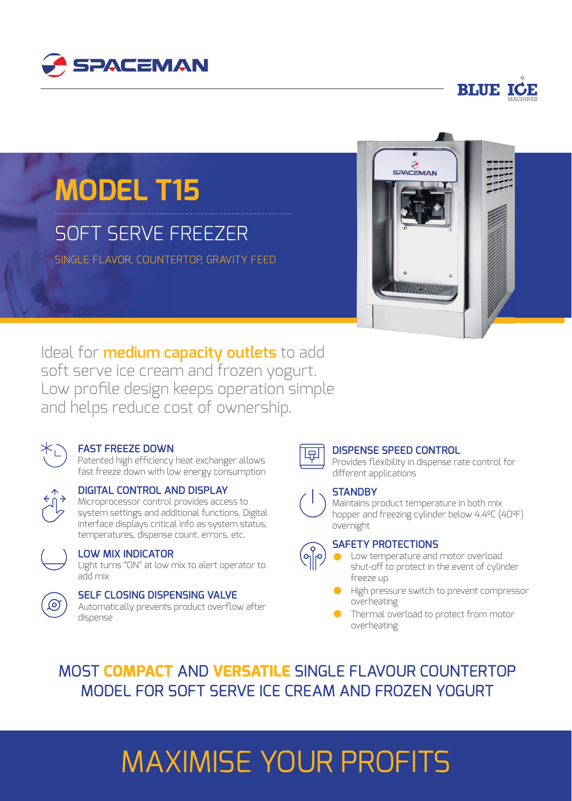



# **MODEL T15**

## SOFT SERVE FREEZER

SINGLE FLAVOR, COUNTERTOP, GRAVITY FEED



Ideal for **medium capacity outlets** to add soft serve ice cream and frozen yogurt. Low profile design keeps operation simple and helps reduce cost of ownership.



### **FAST FREEZE DOWN**

Patented high efficiency heat exchanger allows fast freeze down with low energy consumption



### **DIGITAL CONTROL AND DISPLAY**

Microprocessor control provides access to system settings and additional functions. Digital interface displays critical info as system status, temperatures, dispense count, errors, etc.



#### **LOW MIX INDICATOR**

Light turns "ON" at low mix to alert operator to add mix



#### **SELF CLOSING DISPENSING VALVE**

Automatically prevents product overflow after dispense



(၅)<br>(၂၂)

#### **DISPENSE SPEED CONTROL**

Provides flexibility in dispense rate control for different applications

#### **STANDBY**

Maintains product temperature in both mix hopper and freezing cylinder below 4.4ºC (40ºF) overnight

#### **SAFETY PROTECTIONS**

- Low temperature and motor overload shut-off to protect in the event of cylinder freeze up
- High pressure switch to prevent compressor overheating
- Thermal overload to protect from motor overheating

MOST **COMPACT** AND **VERSATILE** SINGLE FLAVOUR COUNTERTOP MODEL FOR SOFT SERVE ICE CREAM AND FROZEN YOGURT

# MAXIMISE YOUR PROFITS